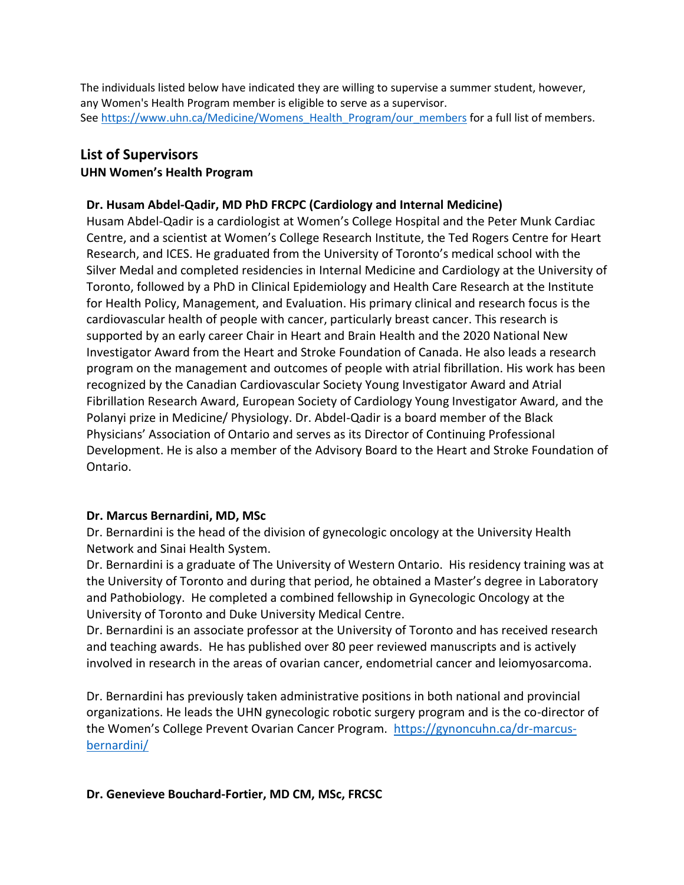The individuals listed below have indicated they are willing to supervise a summer student, however, any Women's Health Program member is eligible to serve as a supervisor. Se[e https://www.uhn.ca/Medicine/Womens\\_Health\\_Program/our\\_members](https://www.uhn.ca/Medicine/Womens_Health_Program/our_members) for a full list of members.

# **List of Supervisors**

# **UHN Women's Health Program**

# **Dr. Husam Abdel-Qadir, MD PhD FRCPC (Cardiology and Internal Medicine)**

 Husam Abdel-Qadir is a cardiologist at Women's College Hospital and the Peter Munk Cardiac Centre, and a scientist at Women's College Research Institute, the Ted Rogers Centre for Heart Research, and ICES. He graduated from the University of Toronto's medical school with the Silver Medal and completed residencies in Internal Medicine and Cardiology at the University of Toronto, followed by a PhD in Clinical Epidemiology and Health Care Research at the Institute for Health Policy, Management, and Evaluation. His primary clinical and research focus is the cardiovascular health of people with cancer, particularly breast cancer. This research is supported by an early career Chair in Heart and Brain Health and the 2020 National New Investigator Award from the Heart and Stroke Foundation of Canada. He also leads a research program on the management and outcomes of people with atrial fibrillation. His work has been recognized by the Canadian Cardiovascular Society Young Investigator Award and Atrial Fibrillation Research Award, European Society of Cardiology Young Investigator Award, and the Polanyi prize in Medicine/ Physiology. Dr. Abdel-Qadir is a board member of the Black Physicians' Association of Ontario and serves as its Director of Continuing Professional Development. He is also a member of the Advisory Board to the Heart and Stroke Foundation of Ontario.

## **Dr. Marcus Bernardini, MD, MSc**

 Dr. Bernardini is the head of the division of gynecologic oncology at the University Health Network and Sinai Health System.

 Dr. Bernardini is a graduate of The University of Western Ontario. His residency training was at the University of Toronto and during that period, he obtained a Master's degree in Laboratory and Pathobiology. He completed a combined fellowship in Gynecologic Oncology at the University of Toronto and Duke University Medical Centre.

 Dr. Bernardini is an associate professor at the University of Toronto and has received research and teaching awards. He has published over 80 peer reviewed manuscripts and is actively involved in research in the areas of ovarian cancer, endometrial cancer and leiomyosarcoma.

 Dr. Bernardini has previously taken administrative positions in both national and provincial organizations. He leads the UHN gynecologic robotic surgery program and is the co-director of the Women's College Prevent Ovarian Cancer Program. [https://gynoncuhn.ca/dr-marcus](https://gynoncuhn.ca/dr-marcus-bernardini/)[bernardini/](https://gynoncuhn.ca/dr-marcus-bernardini/) 

## **Dr. Genevieve Bouchard-Fortier, MD CM, MSc, FRCSC**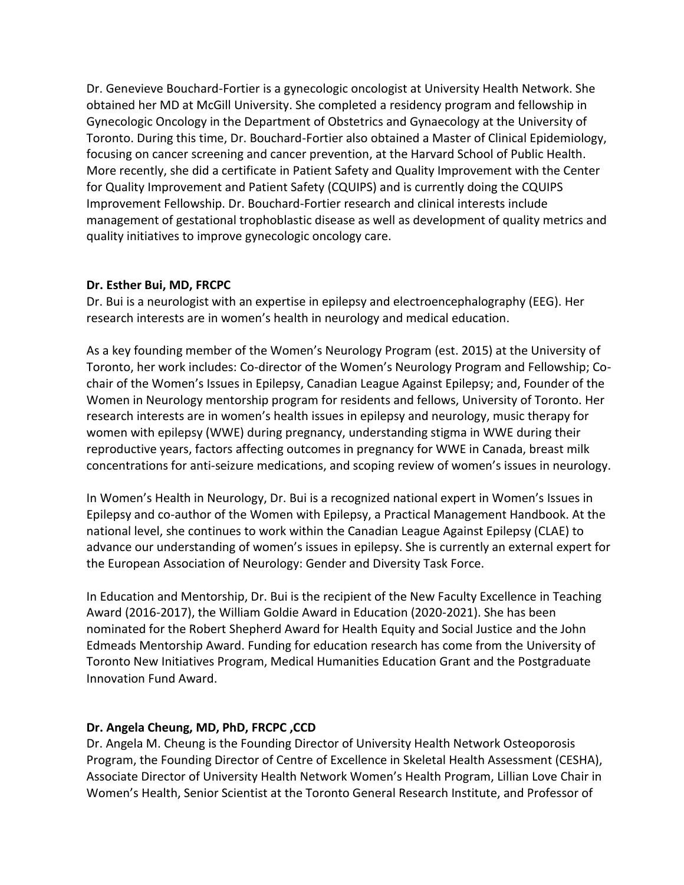obtained her MD at McGill University. She completed a residency program and fellowship in Gynecologic Oncology in the Department of Obstetrics and Gynaecology at the University of Toronto. During this time, Dr. Bouchard-Fortier also obtained a Master of Clinical Epidemiology, focusing on cancer screening and cancer prevention, at the Harvard School of Public Health. More recently, she did a certificate in Patient Safety and Quality Improvement with the Center for Quality Improvement and Patient Safety (CQUIPS) and is currently doing the CQUIPS Improvement Fellowship. Dr. Bouchard-Fortier research and clinical interests include management of gestational trophoblastic disease as well as development of quality metrics and quality initiatives to improve gynecologic oncology care. Dr. Genevieve Bouchard-Fortier is a gynecologic oncologist at University Health Network. She

#### **Dr. Esther Bui, MD, FRCPC**

 Dr. Bui is a neurologist with an expertise in epilepsy and electroencephalography (EEG). Her research interests are in women's health in neurology and medical education.

 As a key founding member of the Women's Neurology Program (est. 2015) at the University of Toronto, her work includes: Co-director of the Women's Neurology Program and Fellowship; Co- chair of the Women's Issues in Epilepsy, Canadian League Against Epilepsy; and, Founder of the Women in Neurology mentorship program for residents and fellows, University of Toronto. Her research interests are in women's health issues in epilepsy and neurology, music therapy for women with epilepsy (WWE) during pregnancy, understanding stigma in WWE during their reproductive years, factors affecting outcomes in pregnancy for WWE in Canada, breast milk concentrations for anti-seizure medications, and scoping review of women's issues in neurology.

 In Women's Health in Neurology, Dr. Bui is a recognized national expert in Women's Issues in Epilepsy and co-author of the Women with Epilepsy, a Practical Management Handbook. At the national level, she continues to work within the Canadian League Against Epilepsy (CLAE) to advance our understanding of women's issues in epilepsy. She is currently an external expert for the European Association of Neurology: Gender and Diversity Task Force.

 In Education and Mentorship, Dr. Bui is the recipient of the New Faculty Excellence in Teaching Award (2016-2017), the William Goldie Award in Education (2020-2021). She has been nominated for the Robert Shepherd Award for Health Equity and Social Justice and the John Edmeads Mentorship Award. Funding for education research has come from the University of Toronto New Initiatives Program, Medical Humanities Education Grant and the Postgraduate Innovation Fund Award.

## **Dr. Angela Cheung, MD, PhD, FRCPC ,CCD**

 Dr. Angela M. Cheung is the Founding Director of University Health Network Osteoporosis Program, the Founding Director of Centre of Excellence in Skeletal Health Assessment (CESHA), Associate Director of University Health Network Women's Health Program, Lillian Love Chair in Women's Health, Senior Scientist at the Toronto General Research Institute, and Professor of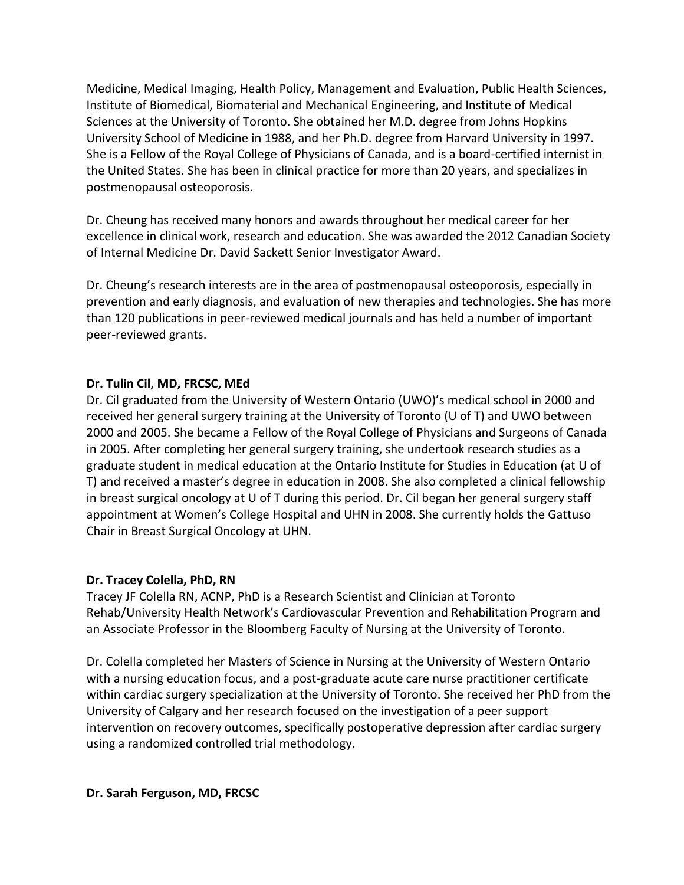Medicine, Medical Imaging, Health Policy, Management and Evaluation, Public Health Sciences, Institute of Biomedical, Biomaterial and Mechanical Engineering, and Institute of Medical Sciences at the University of Toronto. She obtained her M.D. degree from Johns Hopkins University School of Medicine in 1988, and her Ph.D. degree from Harvard University in 1997. She is a Fellow of the Royal College of Physicians of Canada, and is a board-certified internist in the United States. She has been in clinical practice for more than 20 years, and specializes in postmenopausal osteoporosis.

 Dr. Cheung has received many honors and awards throughout her medical career for her excellence in clinical work, research and education. She was awarded the 2012 Canadian Society of Internal Medicine Dr. David Sackett Senior Investigator Award.

 Dr. Cheung's research interests are in the area of postmenopausal osteoporosis, especially in prevention and early diagnosis, and evaluation of new therapies and technologies. She has more than 120 publications in peer-reviewed medical journals and has held a number of important peer-reviewed grants.

#### **Dr. Tulin Cil, MD, FRCSC, MEd**

 Dr. Cil graduated from the University of Western Ontario (UWO)'s medical school in 2000 and received her general surgery training at the University of Toronto (U of T) and UWO between 2000 and 2005. She became a Fellow of the Royal College of Physicians and Surgeons of Canada in 2005. After completing her general surgery training, she undertook research studies as a graduate student in medical education at the Ontario Institute for Studies in Education (at U of T) and received a master's degree in education in 2008. She also completed a clinical fellowship in breast surgical oncology at U of T during this period. Dr. Cil began her general surgery staff appointment at Women's College Hospital and UHN in 2008. She currently holds the Gattuso Chair in Breast Surgical Oncology at UHN.

## **Dr. Tracey Colella, PhD, RN**

 Tracey JF Colella RN, ACNP, PhD is a Research Scientist and Clinician at Toronto Rehab/University Health Network's Cardiovascular Prevention and Rehabilitation Program and an Associate Professor in the Bloomberg Faculty of Nursing at the University of Toronto.

 Dr. Colella completed her Masters of Science in Nursing at the University of Western Ontario with a nursing education focus, and a post-graduate acute care nurse practitioner certificate within cardiac surgery specialization at the University of Toronto. She received her PhD from the University of Calgary and her research focused on the investigation of a peer support intervention on recovery outcomes, specifically postoperative depression after cardiac surgery using a randomized controlled trial methodology.

#### **Dr. Sarah Ferguson, MD, FRCSC**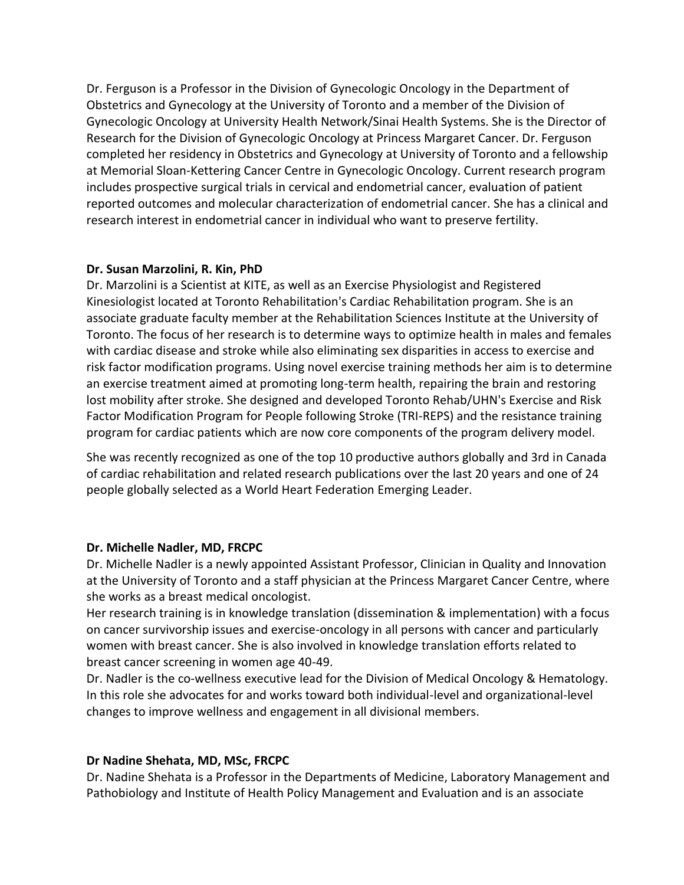Dr. Ferguson is a Professor in the Division of Gynecologic Oncology in the Department of Obstetrics and Gynecology at the University of Toronto and a member of the Division of Gynecologic Oncology at University Health Network/Sinai Health Systems. She is the Director of Research for the Division of Gynecologic Oncology at Princess Margaret Cancer. Dr. Ferguson completed her residency in Obstetrics and Gynecology at University of Toronto and a fellowship at Memorial Sloan-Kettering Cancer Centre in Gynecologic Oncology. Current research program includes prospective surgical trials in cervical and endometrial cancer, evaluation of patient reported outcomes and molecular characterization of endometrial cancer. She has a clinical and research interest in endometrial cancer in individual who want to preserve fertility.

#### **Dr. Susan Marzolini, R. Kin, PhD**

 Dr. Marzolini is a Scientist at KITE, as well as an Exercise Physiologist and Registered Kinesiologist located at Toronto Rehabilitation's Cardiac Rehabilitation program. She is an associate graduate faculty member at the Rehabilitation Sciences Institute at the University of Toronto. The focus of her research is to determine ways to optimize health in males and females with cardiac disease and stroke while also eliminating sex disparities in access to exercise and risk factor modification programs. Using novel exercise training methods her aim is to determine an exercise treatment aimed at promoting long-term health, repairing the brain and restoring lost mobility after stroke. She designed and developed Toronto Rehab/UHN's Exercise and Risk Factor Modification Program for People following Stroke (TRI-REPS) and the resistance training program for cardiac patients which are now core components of the program delivery model.

 She was recently recognized as one of the top 10 productive authors globally and 3rd in Canada of cardiac rehabilitation and related research publications over the last 20 years and one of 24 people globally selected as a World Heart Federation Emerging Leader.

## **Dr. Michelle Nadler, MD, FRCPC**

 Dr. Michelle Nadler is a newly appointed Assistant Professor, Clinician in Quality and Innovation at the University of Toronto and a staff physician at the Princess Margaret Cancer Centre, where she works as a breast medical oncologist.

 Her research training is in knowledge translation (dissemination & implementation) with a focus on cancer survivorship issues and exercise-oncology in all persons with cancer and particularly women with breast cancer. She is also involved in knowledge translation efforts related to breast cancer screening in women age 40-49.

 Dr. Nadler is the co-wellness executive lead for the Division of Medical Oncology & Hematology. In this role she advocates for and works toward both individual-level and organizational-level changes to improve wellness and engagement in all divisional members.

## **Dr Nadine Shehata, MD, MSc, FRCPC**

 Dr. Nadine Shehata is a Professor in the Departments of Medicine, Laboratory Management and Pathobiology and Institute of Health Policy Management and Evaluation and is an associate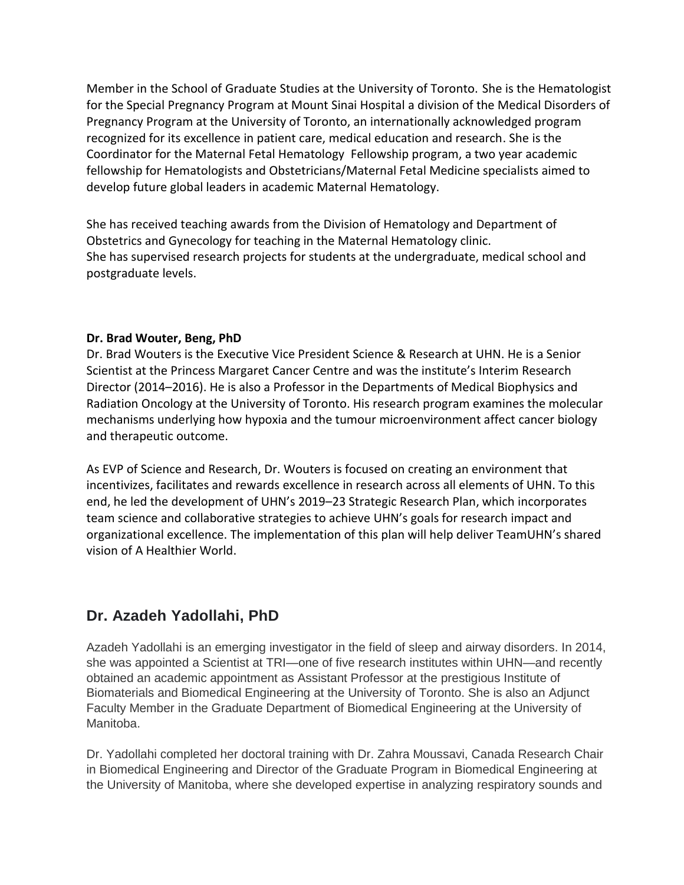Member in the School of Graduate Studies at the University of Toronto. She is the Hematologist for the Special Pregnancy Program at Mount Sinai Hospital a division of the Medical Disorders of Pregnancy Program at the University of Toronto, an internationally acknowledged program recognized for its excellence in patient care, medical education and research. She is the Coordinator for the Maternal Fetal Hematology Fellowship program, a two year academic fellowship for Hematologists and Obstetricians/Maternal Fetal Medicine specialists aimed to develop future global leaders in academic Maternal Hematology.

 She has received teaching awards from the Division of Hematology and Department of Obstetrics and Gynecology for teaching in the Maternal Hematology clinic. She has supervised research projects for students at the undergraduate, medical school and postgraduate levels.

## **Dr. Brad Wouter, Beng, PhD**

 Dr. Brad Wouters is the Executive Vice President Science & Research at UHN. He is a Senior Scientist at the Princess Margaret Cancer Centre and was the institute's Interim Research Radiation Oncology at the University of Toronto. His research program examines the molecular mechanisms underlying how hypoxia and the tumour microenvironment affect cancer biology and therapeutic outcome. Director (2014–2016). He is also a Professor in the Departments of Medical Biophysics and

 As EVP of Science and Research, Dr. Wouters is focused on creating an environment that incentivizes, facilitates and rewards excellence in research across all elements of UHN. To this end, he led the development of UHN's 2019–23 Strategic Research Plan, which incorporates team science and collaborative strategies to achieve UHN's goals for research impact and organizational excellence. The implementation of this plan will help deliver TeamUHN's shared vision of A Healthier World.

# **Dr. Azadeh Yadollahi, PhD**

 Azadeh Yadollahi is an emerging investigator in the field of sleep and airway disorders. In 2014, she was appointed a Scientist at TRI—one of five research institutes within UHN—and recently obtained an academic appointment as Assistant Professor at the prestigious Institute of Biomaterials and Biomedical Engineering at the University of Toronto. She is also an Adjunct Faculty Member in the Graduate Department of Biomedical Engineering at the University of Manitoba.

 Dr. Yadollahi completed her doctoral training with Dr. Zahra Moussavi, Canada Research Chair in Biomedical Engineering and Director of the Graduate Program in Biomedical Engineering at the University of Manitoba, where she developed expertise in analyzing respiratory sounds and